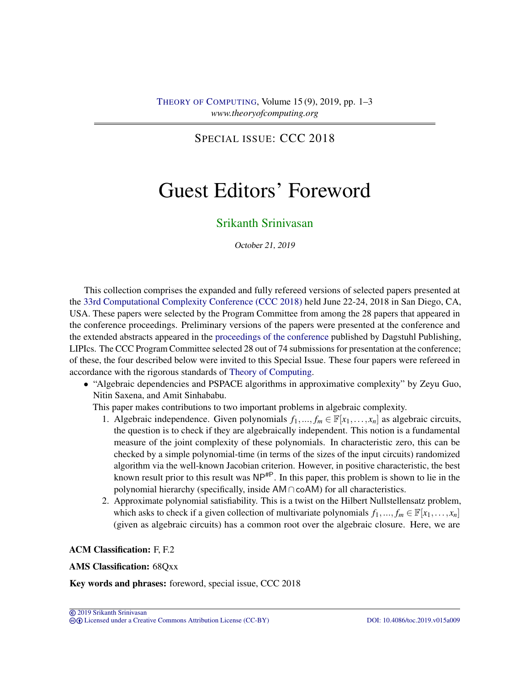<span id="page-0-0"></span>SPECIAL ISSUE: CCC 2018

## Guest Editors' Foreword

## [Srikanth Srinivasan](#page-2-0)

October 21, 2019

This collection comprises the expanded and fully refereed versions of selected papers presented at the [33rd Computational Complexity Conference \(CCC 2018\)](http://www.computationalcomplexity.org/Archive/2018/program.php) held June 22-24, 2018 in San Diego, CA, USA. These papers were selected by the Program Committee from among the 28 papers that appeared in the conference proceedings. Preliminary versions of the papers were presented at the conference and the extended abstracts appeared in the [proceedings of the conference](http://drops.dagstuhl.de/portals/extern/index.php?semnr=16071) published by Dagstuhl Publishing, LIPIcs. The CCC Program Committee selected 28 out of 74 submissions for presentation at the conference; of these, the four described below were invited to this Special Issue. These four papers were refereed in accordance with the rigorous standards of [Theory of Computing.](https://doi.org/10.4086/toc)

• "Algebraic dependencies and PSPACE algorithms in approximative complexity" by Zeyu Guo, Nitin Saxena, and Amit Sinhababu.

This paper makes contributions to two important problems in algebraic complexity.

- 1. Algebraic independence. Given polynomials  $f_1, ..., f_m \in \mathbb{F}[x_1, ..., x_n]$  as algebraic circuits, the question is to check if they are algebraically independent. This notion is a fundamental measure of the joint complexity of these polynomials. In characteristic zero, this can be checked by a simple polynomial-time (in terms of the sizes of the input circuits) randomized algorithm via the well-known Jacobian criterion. However, in positive characteristic, the best known result prior to this result was  $NP^{HP}$ . In this paper, this problem is shown to lie in the polynomial hierarchy (specifically, inside AM∩coAM) for all characteristics.
- 2. Approximate polynomial satisfiability. This is a twist on the Hilbert Nullstellensatz problem, which asks to check if a given collection of multivariate polynomials  $f_1, ..., f_m \in \mathbb{F}[x_1, ..., x_n]$ (given as algebraic circuits) has a common root over the algebraic closure. Here, we are

ACM Classification: F, F.2

AMS Classification: 68Qxx

Key words and phrases: foreword, special issue, CCC 2018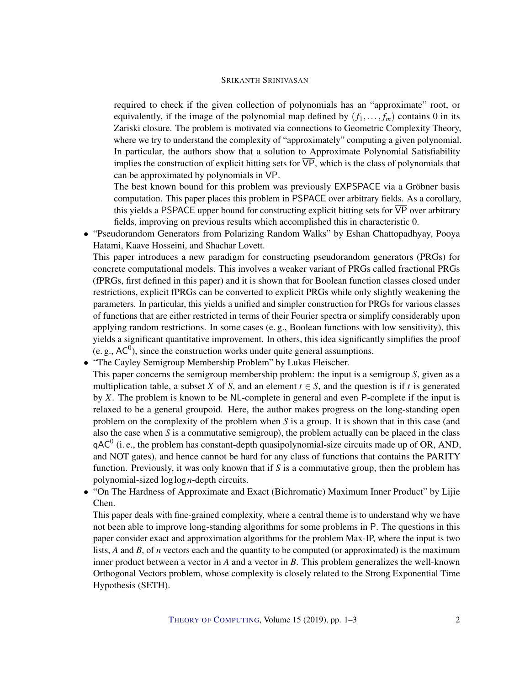## SRIKANTH SRINIVASAN

required to check if the given collection of polynomials has an "approximate" root, or equivalently, if the image of the polynomial map defined by  $(f_1, \ldots, f_m)$  contains 0 in its Zariski closure. The problem is motivated via connections to Geometric Complexity Theory, where we try to understand the complexity of "approximately" computing a given polynomial. In particular, the authors show that a solution to Approximate Polynomial Satisfiability implies the construction of explicit hitting sets for  $\overline{VP}$ , which is the class of polynomials that can be approximated by polynomials in VP.

The best known bound for this problem was previously EXPSPACE via a Gröbner basis computation. This paper places this problem in PSPACE over arbitrary fields. As a corollary, this yields a PSPACE upper bound for constructing explicit hitting sets for  $\overline{VP}$  over arbitrary fields, improving on previous results which accomplished this in characteristic 0.

• "Pseudorandom Generators from Polarizing Random Walks" by Eshan Chattopadhyay, Pooya Hatami, Kaave Hosseini, and Shachar Lovett.

This paper introduces a new paradigm for constructing pseudorandom generators (PRGs) for concrete computational models. This involves a weaker variant of PRGs called fractional PRGs (fPRGs, first defined in this paper) and it is shown that for Boolean function classes closed under restrictions, explicit fPRGs can be converted to explicit PRGs while only slightly weakening the parameters. In particular, this yields a unified and simpler construction for PRGs for various classes of functions that are either restricted in terms of their Fourier spectra or simplify considerably upon applying random restrictions. In some cases (e. g., Boolean functions with low sensitivity), this yields a significant quantitative improvement. In others, this idea significantly simplifies the proof (e. g.,  $AC<sup>0</sup>$ ), since the construction works under quite general assumptions.

• "The Cayley Semigroup Membership Problem" by Lukas Fleischer.

This paper concerns the semigroup membership problem: the input is a semigroup *S*, given as a multiplication table, a subset *X* of *S*, and an element  $t \in S$ , and the question is if *t* is generated by *X*. The problem is known to be NL-complete in general and even P-complete if the input is relaxed to be a general groupoid. Here, the author makes progress on the long-standing open problem on the complexity of the problem when *S* is a group. It is shown that in this case (and also the case when *S* is a commutative semigroup), the problem actually can be placed in the class  $qAC<sup>0</sup>$  (i. e., the problem has constant-depth quasipolynomial-size circuits made up of OR, AND, and NOT gates), and hence cannot be hard for any class of functions that contains the PARITY function. Previously, it was only known that if *S* is a commutative group, then the problem has polynomial-sized loglog*n*-depth circuits.

• "On The Hardness of Approximate and Exact (Bichromatic) Maximum Inner Product" by Lijie Chen.

This paper deals with fine-grained complexity, where a central theme is to understand why we have not been able to improve long-standing algorithms for some problems in P. The questions in this paper consider exact and approximation algorithms for the problem Max-IP, where the input is two lists, *A* and *B*, of *n* vectors each and the quantity to be computed (or approximated) is the maximum inner product between a vector in *A* and a vector in *B*. This problem generalizes the well-known Orthogonal Vectors problem, whose complexity is closely related to the Strong Exponential Time Hypothesis (SETH).